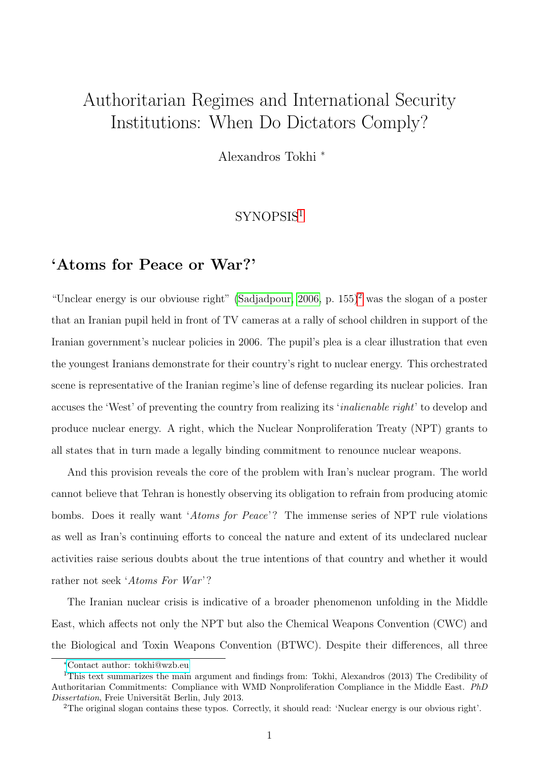# Authoritarian Regimes and International Security Institutions: When Do Dictators Comply?

Alexandros Tokhi <sup>∗</sup>

### SYNOPSIS[1](#page-0-0)

# 'Atoms for Peace or War?'

"Unclear energy is our obviouse right" [\(Sadjadpour, 2006,](#page-22-0) p.  $155$ )<sup>[2](#page-0-1)</sup> was the slogan of a poster that an Iranian pupil held in front of TV cameras at a rally of school children in support of the Iranian government's nuclear policies in 2006. The pupil's plea is a clear illustration that even the youngest Iranians demonstrate for their country's right to nuclear energy. This orchestrated scene is representative of the Iranian regime's line of defense regarding its nuclear policies. Iran accuses the 'West' of preventing the country from realizing its 'inalienable right' to develop and produce nuclear energy. A right, which the Nuclear Nonproliferation Treaty (NPT) grants to all states that in turn made a legally binding commitment to renounce nuclear weapons.

And this provision reveals the core of the problem with Iran's nuclear program. The world cannot believe that Tehran is honestly observing its obligation to refrain from producing atomic bombs. Does it really want 'Atoms for Peace'? The immense series of NPT rule violations as well as Iran's continuing efforts to conceal the nature and extent of its undeclared nuclear activities raise serious doubts about the true intentions of that country and whether it would rather not seek 'Atoms For War'?

The Iranian nuclear crisis is indicative of a broader phenomenon unfolding in the Middle East, which affects not only the NPT but also the Chemical Weapons Convention (CWC) and the Biological and Toxin Weapons Convention (BTWC). Despite their differences, all three

<span id="page-0-0"></span><sup>∗</sup>[Contact author: tokhi@wzb.eu](mailto:alexandros.tokhi@wzb.eu)

<sup>1</sup>This text summarizes the main argument and findings from: Tokhi, Alexandros (2013) The Credibility of Authoritarian Commitments: Compliance with WMD Nonproliferation Compliance in the Middle East. PhD Dissertation, Freie Universität Berlin, July 2013.

<span id="page-0-1"></span><sup>2</sup>The original slogan contains these typos. Correctly, it should read: 'Nuclear energy is our obvious right'.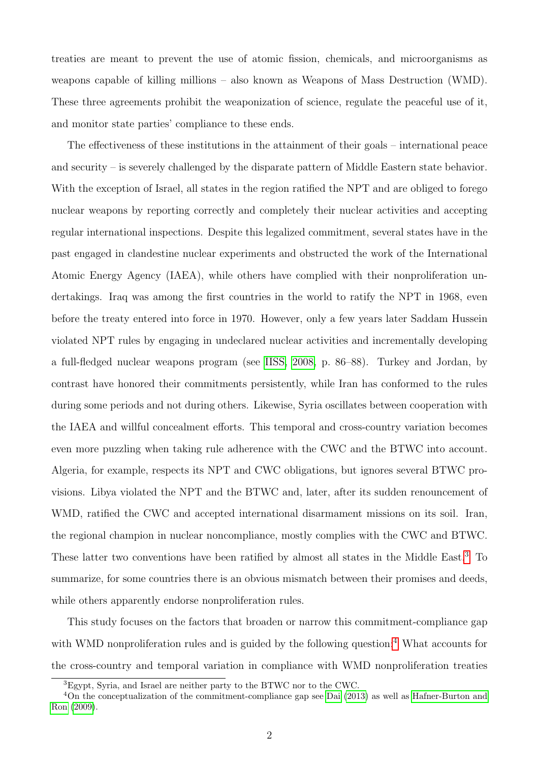treaties are meant to prevent the use of atomic fission, chemicals, and microorganisms as weapons capable of killing millions – also known as Weapons of Mass Destruction (WMD). These three agreements prohibit the weaponization of science, regulate the peaceful use of it, and monitor state parties' compliance to these ends.

The effectiveness of these institutions in the attainment of their goals – international peace and security – is severely challenged by the disparate pattern of Middle Eastern state behavior. With the exception of Israel, all states in the region ratified the NPT and are obliged to forego nuclear weapons by reporting correctly and completely their nuclear activities and accepting regular international inspections. Despite this legalized commitment, several states have in the past engaged in clandestine nuclear experiments and obstructed the work of the International Atomic Energy Agency (IAEA), while others have complied with their nonproliferation undertakings. Iraq was among the first countries in the world to ratify the NPT in 1968, even before the treaty entered into force in 1970. However, only a few years later Saddam Hussein violated NPT rules by engaging in undeclared nuclear activities and incrementally developing a full-fledged nuclear weapons program (see [IISS, 2008,](#page-21-0) p. 86–88). Turkey and Jordan, by contrast have honored their commitments persistently, while Iran has conformed to the rules during some periods and not during others. Likewise, Syria oscillates between cooperation with the IAEA and willful concealment efforts. This temporal and cross-country variation becomes even more puzzling when taking rule adherence with the CWC and the BTWC into account. Algeria, for example, respects its NPT and CWC obligations, but ignores several BTWC provisions. Libya violated the NPT and the BTWC and, later, after its sudden renouncement of WMD, ratified the CWC and accepted international disarmament missions on its soil. Iran, the regional champion in nuclear noncompliance, mostly complies with the CWC and BTWC. These latter two conventions have been ratified by almost all states in the Middle East.[3](#page-1-0) To summarize, for some countries there is an obvious mismatch between their promises and deeds, while others apparently endorse nonproliferation rules.

This study focuses on the factors that broaden or narrow this commitment-compliance gap with WMD nonproliferation rules and is guided by the following question:<sup>[4](#page-1-1)</sup> What accounts for the cross-country and temporal variation in compliance with WMD nonproliferation treaties

<span id="page-1-1"></span><span id="page-1-0"></span><sup>3</sup>Egypt, Syria, and Israel are neither party to the BTWC nor to the CWC.

<sup>4</sup>On the conceptualization of the commitment-compliance gap see [Dai](#page-20-0) [\(2013\)](#page-20-0) as well as [Hafner-Burton and](#page-20-1) [Ron](#page-20-1) [\(2009\)](#page-20-1).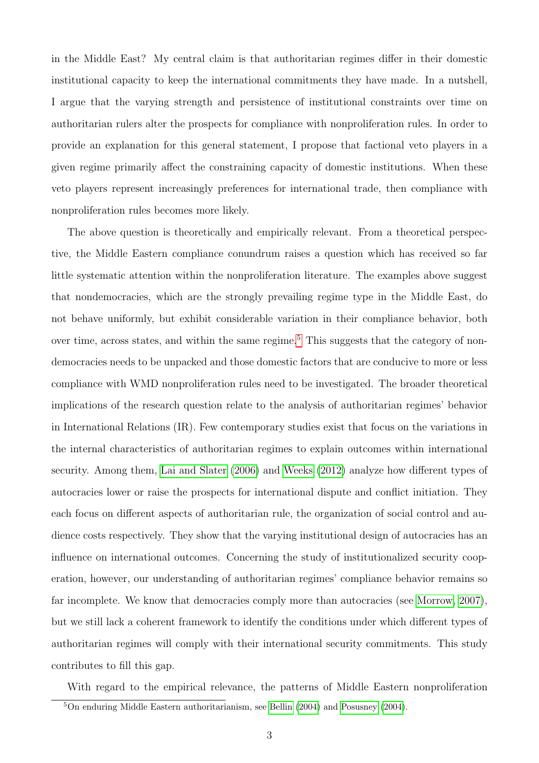in the Middle East? My central claim is that authoritarian regimes differ in their domestic institutional capacity to keep the international commitments they have made. In a nutshell, I argue that the varying strength and persistence of institutional constraints over time on authoritarian rulers alter the prospects for compliance with nonproliferation rules. In order to provide an explanation for this general statement, I propose that factional veto players in a given regime primarily affect the constraining capacity of domestic institutions. When these veto players represent increasingly preferences for international trade, then compliance with nonproliferation rules becomes more likely.

The above question is theoretically and empirically relevant. From a theoretical perspective, the Middle Eastern compliance conundrum raises a question which has received so far little systematic attention within the nonproliferation literature. The examples above suggest that nondemocracies, which are the strongly prevailing regime type in the Middle East, do not behave uniformly, but exhibit considerable variation in their compliance behavior, both over time, across states, and within the same regime.<sup>[5](#page-2-0)</sup> This suggests that the category of nondemocracies needs to be unpacked and those domestic factors that are conducive to more or less compliance with WMD nonproliferation rules need to be investigated. The broader theoretical implications of the research question relate to the analysis of authoritarian regimes' behavior in International Relations (IR). Few contemporary studies exist that focus on the variations in the internal characteristics of authoritarian regimes to explain outcomes within international security. Among them, [Lai and Slater](#page-21-1) [\(2006\)](#page-21-1) and [Weeks](#page-23-0) [\(2012\)](#page-23-0) analyze how different types of autocracies lower or raise the prospects for international dispute and conflict initiation. They each focus on different aspects of authoritarian rule, the organization of social control and audience costs respectively. They show that the varying institutional design of autocracies has an influence on international outcomes. Concerning the study of institutionalized security cooperation, however, our understanding of authoritarian regimes' compliance behavior remains so far incomplete. We know that democracies comply more than autocracies (see [Morrow, 2007\)](#page-21-2), but we still lack a coherent framework to identify the conditions under which different types of authoritarian regimes will comply with their international security commitments. This study contributes to fill this gap.

With regard to the empirical relevance, the patterns of Middle Eastern nonproliferation

<span id="page-2-0"></span><sup>5</sup>On enduring Middle Eastern authoritarianism, see [Bellin](#page-19-0) [\(2004\)](#page-19-0) and [Posusney](#page-22-1) [\(2004\)](#page-22-1).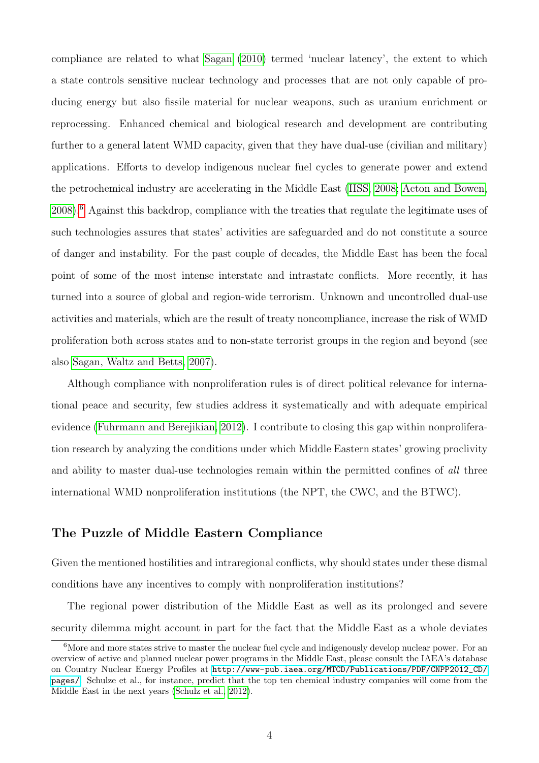compliance are related to what [Sagan](#page-22-2) [\(2010\)](#page-22-2) termed 'nuclear latency', the extent to which a state controls sensitive nuclear technology and processes that are not only capable of producing energy but also fissile material for nuclear weapons, such as uranium enrichment or reprocessing. Enhanced chemical and biological research and development are contributing further to a general latent WMD capacity, given that they have dual-use (civilian and military) applications. Efforts to develop indigenous nuclear fuel cycles to generate power and extend the petrochemical industry are accelerating in the Middle East [\(IISS, 2008;](#page-21-0) [Acton and Bowen,](#page-19-1) [2008\)](#page-19-1).[6](#page-3-0) Against this backdrop, compliance with the treaties that regulate the legitimate uses of such technologies assures that states' activities are safeguarded and do not constitute a source of danger and instability. For the past couple of decades, the Middle East has been the focal point of some of the most intense interstate and intrastate conflicts. More recently, it has turned into a source of global and region-wide terrorism. Unknown and uncontrolled dual-use activities and materials, which are the result of treaty noncompliance, increase the risk of WMD proliferation both across states and to non-state terrorist groups in the region and beyond (see also [Sagan, Waltz and Betts, 2007\)](#page-22-3).

Although compliance with nonproliferation rules is of direct political relevance for international peace and security, few studies address it systematically and with adequate empirical evidence [\(Fuhrmann and Berejikian, 2012\)](#page-20-2). I contribute to closing this gap within nonproliferation research by analyzing the conditions under which Middle Eastern states' growing proclivity and ability to master dual-use technologies remain within the permitted confines of all three international WMD nonproliferation institutions (the NPT, the CWC, and the BTWC).

### The Puzzle of Middle Eastern Compliance

Given the mentioned hostilities and intraregional conflicts, why should states under these dismal conditions have any incentives to comply with nonproliferation institutions?

The regional power distribution of the Middle East as well as its prolonged and severe security dilemma might account in part for the fact that the Middle East as a whole deviates

<span id="page-3-0"></span><sup>&</sup>lt;sup>6</sup>More and more states strive to master the nuclear fuel cycle and indigenously develop nuclear power. For an overview of active and planned nuclear power programs in the Middle East, please consult the IAEA's database on Country Nuclear Energy Profiles at [http://www-pub.iaea.org/MTCD/Publications/PDF/CNPP2012\\_CD/](http://www-pub.iaea.org/MTCD/Publications/PDF/CNPP2012_CD/pages/) [pages/](http://www-pub.iaea.org/MTCD/Publications/PDF/CNPP2012_CD/pages/). Schulze et al., for instance, predict that the top ten chemical industry companies will come from the Middle East in the next years [\(Schulz et al., 2012\)](#page-23-1).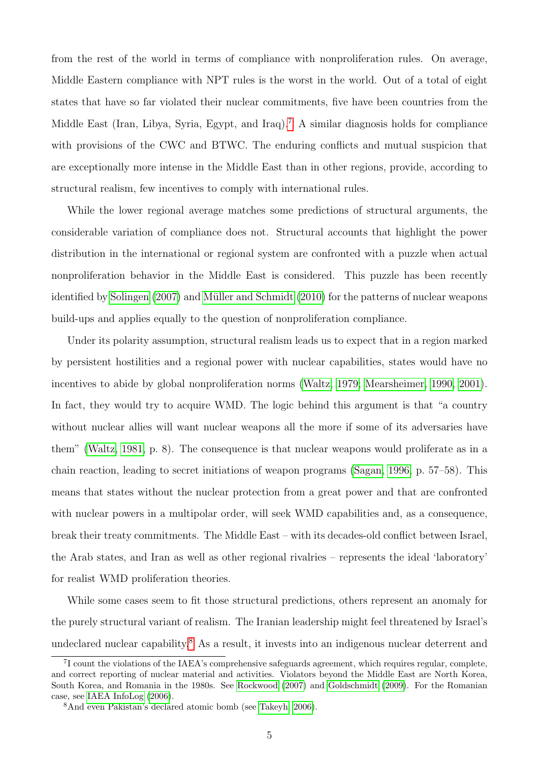from the rest of the world in terms of compliance with nonproliferation rules. On average, Middle Eastern compliance with NPT rules is the worst in the world. Out of a total of eight states that have so far violated their nuclear commitments, five have been countries from the Middle East (Iran, Libya, Syria, Egypt, and Iraq).<sup>[7](#page-4-0)</sup> A similar diagnosis holds for compliance with provisions of the CWC and BTWC. The enduring conflicts and mutual suspicion that are exceptionally more intense in the Middle East than in other regions, provide, according to structural realism, few incentives to comply with international rules.

While the lower regional average matches some predictions of structural arguments, the considerable variation of compliance does not. Structural accounts that highlight the power distribution in the international or regional system are confronted with a puzzle when actual nonproliferation behavior in the Middle East is considered. This puzzle has been recently identified by [Solingen](#page-23-2) [\(2007\)](#page-23-2) and Müller and Schmidt [\(2010\)](#page-21-3) for the patterns of nuclear weapons build-ups and applies equally to the question of nonproliferation compliance.

Under its polarity assumption, structural realism leads us to expect that in a region marked by persistent hostilities and a regional power with nuclear capabilities, states would have no incentives to abide by global nonproliferation norms [\(Waltz, 1979;](#page-23-3) [Mearsheimer, 1990,](#page-21-4) [2001\)](#page-21-5). In fact, they would try to acquire WMD. The logic behind this argument is that "a country without nuclear allies will want nuclear weapons all the more if some of its adversaries have them" [\(Waltz, 1981,](#page-23-4) p. 8). The consequence is that nuclear weapons would proliferate as in a chain reaction, leading to secret initiations of weapon programs [\(Sagan, 1996,](#page-22-4) p. 57–58). This means that states without the nuclear protection from a great power and that are confronted with nuclear powers in a multipolar order, will seek WMD capabilities and, as a consequence, break their treaty commitments. The Middle East – with its decades-old conflict between Israel, the Arab states, and Iran as well as other regional rivalries – represents the ideal 'laboratory' for realist WMD proliferation theories.

While some cases seem to fit those structural predictions, others represent an anomaly for the purely structural variant of realism. The Iranian leadership might feel threatened by Israel's undeclared nuclear capability.[8](#page-4-1) As a result, it invests into an indigenous nuclear deterrent and

<span id="page-4-0"></span><sup>&</sup>lt;sup>7</sup>I count the violations of the IAEA's comprehensive safeguards agreement, which requires regular, complete, and correct reporting of nuclear material and activities. Violators beyond the Middle East are North Korea, South Korea, and Romania in the 1980s. See [Rockwood](#page-22-5) [\(2007\)](#page-22-5) and [Goldschmidt](#page-20-3) [\(2009\)](#page-20-3). For the Romanian case, see [IAEA InfoLog](#page-21-6) [\(2006\)](#page-21-6).

<span id="page-4-1"></span><sup>8</sup>And even Pakistan's declared atomic bomb (see [Takeyh, 2006\)](#page-23-5).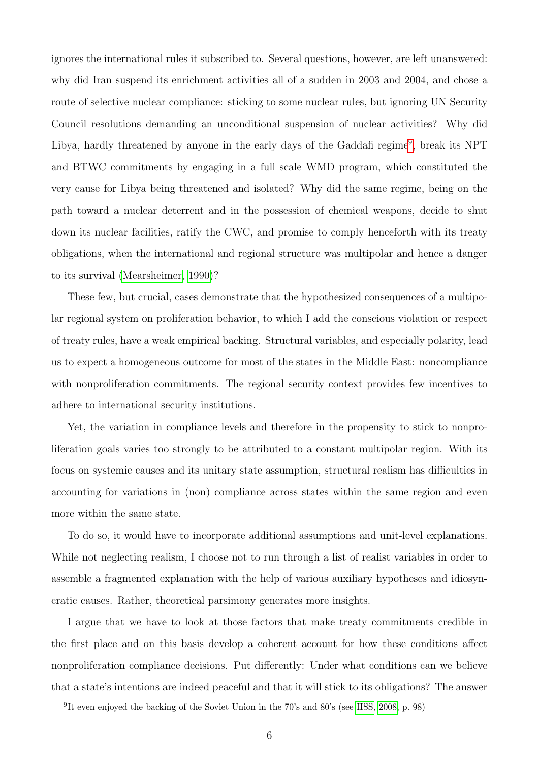ignores the international rules it subscribed to. Several questions, however, are left unanswered: why did Iran suspend its enrichment activities all of a sudden in 2003 and 2004, and chose a route of selective nuclear compliance: sticking to some nuclear rules, but ignoring UN Security Council resolutions demanding an unconditional suspension of nuclear activities? Why did Libya, hardly threatened by anyone in the early days of the Gaddafi regime<sup>[9](#page-5-0)</sup>, break its NPT and BTWC commitments by engaging in a full scale WMD program, which constituted the very cause for Libya being threatened and isolated? Why did the same regime, being on the path toward a nuclear deterrent and in the possession of chemical weapons, decide to shut down its nuclear facilities, ratify the CWC, and promise to comply henceforth with its treaty obligations, when the international and regional structure was multipolar and hence a danger to its survival [\(Mearsheimer, 1990\)](#page-21-4)?

These few, but crucial, cases demonstrate that the hypothesized consequences of a multipolar regional system on proliferation behavior, to which I add the conscious violation or respect of treaty rules, have a weak empirical backing. Structural variables, and especially polarity, lead us to expect a homogeneous outcome for most of the states in the Middle East: noncompliance with nonproliferation commitments. The regional security context provides few incentives to adhere to international security institutions.

Yet, the variation in compliance levels and therefore in the propensity to stick to nonproliferation goals varies too strongly to be attributed to a constant multipolar region. With its focus on systemic causes and its unitary state assumption, structural realism has difficulties in accounting for variations in (non) compliance across states within the same region and even more within the same state.

To do so, it would have to incorporate additional assumptions and unit-level explanations. While not neglecting realism, I choose not to run through a list of realist variables in order to assemble a fragmented explanation with the help of various auxiliary hypotheses and idiosyncratic causes. Rather, theoretical parsimony generates more insights.

I argue that we have to look at those factors that make treaty commitments credible in the first place and on this basis develop a coherent account for how these conditions affect nonproliferation compliance decisions. Put differently: Under what conditions can we believe that a state's intentions are indeed peaceful and that it will stick to its obligations? The answer

<span id="page-5-0"></span><sup>&</sup>lt;sup>9</sup>It even enjoyed the backing of the Soviet Union in the 70's and 80's (see [IISS, 2008,](#page-21-0) p. 98)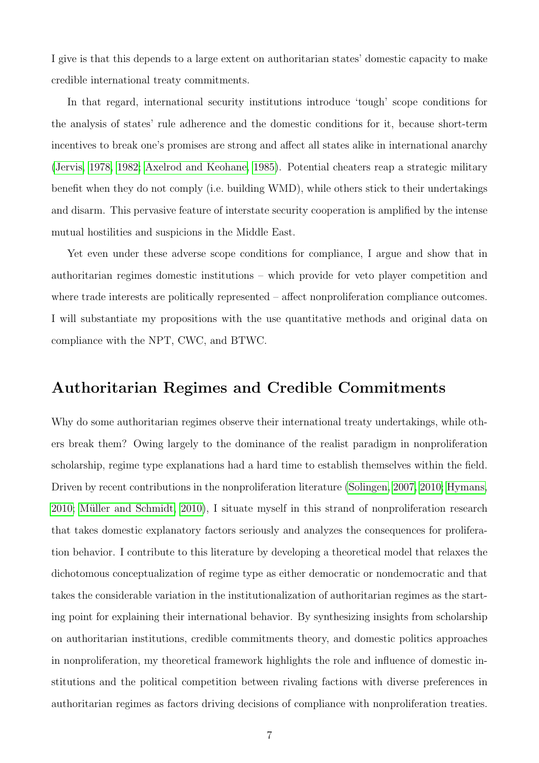I give is that this depends to a large extent on authoritarian states' domestic capacity to make credible international treaty commitments.

In that regard, international security institutions introduce 'tough' scope conditions for the analysis of states' rule adherence and the domestic conditions for it, because short-term incentives to break one's promises are strong and affect all states alike in international anarchy [\(Jervis, 1978,](#page-21-7) [1982;](#page-21-8) [Axelrod and Keohane, 1985\)](#page-19-2). Potential cheaters reap a strategic military benefit when they do not comply (i.e. building WMD), while others stick to their undertakings and disarm. This pervasive feature of interstate security cooperation is amplified by the intense mutual hostilities and suspicions in the Middle East.

Yet even under these adverse scope conditions for compliance, I argue and show that in authoritarian regimes domestic institutions – which provide for veto player competition and where trade interests are politically represented – affect nonproliferation compliance outcomes. I will substantiate my propositions with the use quantitative methods and original data on compliance with the NPT, CWC, and BTWC.

# Authoritarian Regimes and Credible Commitments

Why do some authoritarian regimes observe their international treaty undertakings, while others break them? Owing largely to the dominance of the realist paradigm in nonproliferation scholarship, regime type explanations had a hard time to establish themselves within the field. Driven by recent contributions in the nonproliferation literature [\(Solingen, 2007,](#page-23-2) [2010;](#page-23-6) [Hymans,](#page-20-4)  $2010$ ; Müller and Schmidt,  $2010$ ), I situate myself in this strand of nonproliferation research that takes domestic explanatory factors seriously and analyzes the consequences for proliferation behavior. I contribute to this literature by developing a theoretical model that relaxes the dichotomous conceptualization of regime type as either democratic or nondemocratic and that takes the considerable variation in the institutionalization of authoritarian regimes as the starting point for explaining their international behavior. By synthesizing insights from scholarship on authoritarian institutions, credible commitments theory, and domestic politics approaches in nonproliferation, my theoretical framework highlights the role and influence of domestic institutions and the political competition between rivaling factions with diverse preferences in authoritarian regimes as factors driving decisions of compliance with nonproliferation treaties.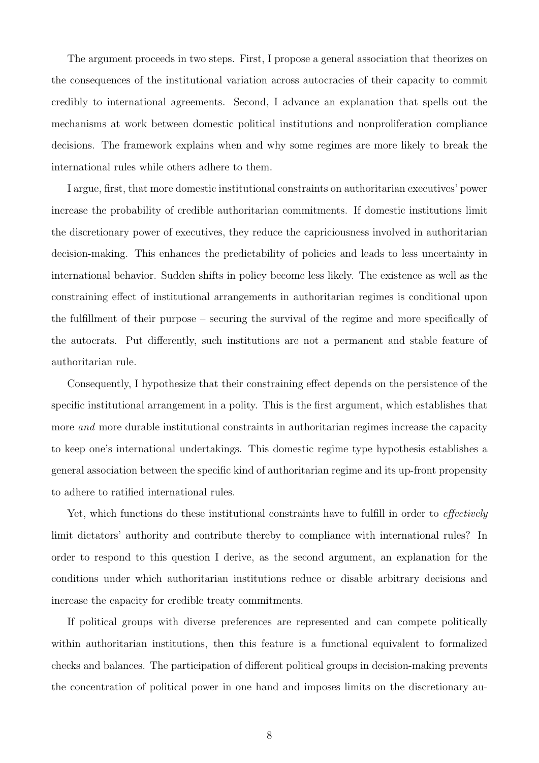The argument proceeds in two steps. First, I propose a general association that theorizes on the consequences of the institutional variation across autocracies of their capacity to commit credibly to international agreements. Second, I advance an explanation that spells out the mechanisms at work between domestic political institutions and nonproliferation compliance decisions. The framework explains when and why some regimes are more likely to break the international rules while others adhere to them.

I argue, first, that more domestic institutional constraints on authoritarian executives' power increase the probability of credible authoritarian commitments. If domestic institutions limit the discretionary power of executives, they reduce the capriciousness involved in authoritarian decision-making. This enhances the predictability of policies and leads to less uncertainty in international behavior. Sudden shifts in policy become less likely. The existence as well as the constraining effect of institutional arrangements in authoritarian regimes is conditional upon the fulfillment of their purpose – securing the survival of the regime and more specifically of the autocrats. Put differently, such institutions are not a permanent and stable feature of authoritarian rule.

Consequently, I hypothesize that their constraining effect depends on the persistence of the specific institutional arrangement in a polity. This is the first argument, which establishes that more *and* more durable institutional constraints in authoritarian regimes increase the capacity to keep one's international undertakings. This domestic regime type hypothesis establishes a general association between the specific kind of authoritarian regime and its up-front propensity to adhere to ratified international rules.

Yet, which functions do these institutional constraints have to fulfill in order to *effectively* limit dictators' authority and contribute thereby to compliance with international rules? In order to respond to this question I derive, as the second argument, an explanation for the conditions under which authoritarian institutions reduce or disable arbitrary decisions and increase the capacity for credible treaty commitments.

If political groups with diverse preferences are represented and can compete politically within authoritarian institutions, then this feature is a functional equivalent to formalized checks and balances. The participation of different political groups in decision-making prevents the concentration of political power in one hand and imposes limits on the discretionary au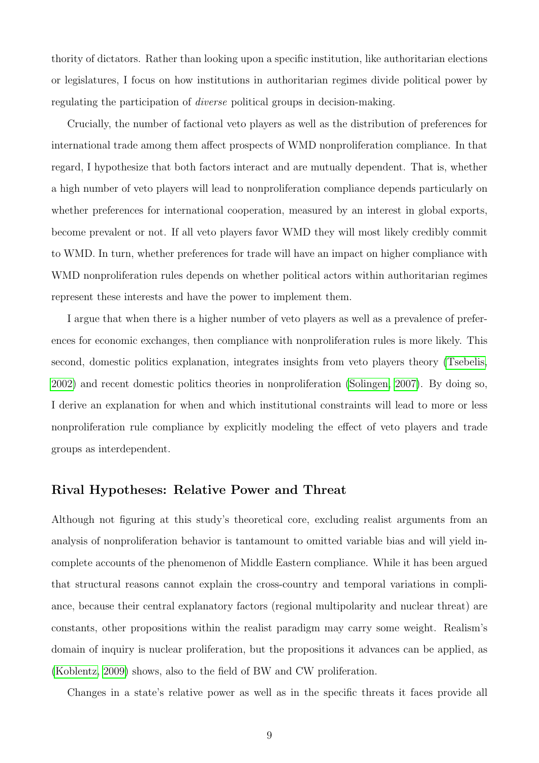thority of dictators. Rather than looking upon a specific institution, like authoritarian elections or legislatures, I focus on how institutions in authoritarian regimes divide political power by regulating the participation of diverse political groups in decision-making.

Crucially, the number of factional veto players as well as the distribution of preferences for international trade among them affect prospects of WMD nonproliferation compliance. In that regard, I hypothesize that both factors interact and are mutually dependent. That is, whether a high number of veto players will lead to nonproliferation compliance depends particularly on whether preferences for international cooperation, measured by an interest in global exports, become prevalent or not. If all veto players favor WMD they will most likely credibly commit to WMD. In turn, whether preferences for trade will have an impact on higher compliance with WMD nonproliferation rules depends on whether political actors within authoritarian regimes represent these interests and have the power to implement them.

I argue that when there is a higher number of veto players as well as a prevalence of preferences for economic exchanges, then compliance with nonproliferation rules is more likely. This second, domestic politics explanation, integrates insights from veto players theory [\(Tsebelis,](#page-23-7) [2002\)](#page-23-7) and recent domestic politics theories in nonproliferation [\(Solingen, 2007\)](#page-23-2). By doing so, I derive an explanation for when and which institutional constraints will lead to more or less nonproliferation rule compliance by explicitly modeling the effect of veto players and trade groups as interdependent.

### Rival Hypotheses: Relative Power and Threat

Although not figuring at this study's theoretical core, excluding realist arguments from an analysis of nonproliferation behavior is tantamount to omitted variable bias and will yield incomplete accounts of the phenomenon of Middle Eastern compliance. While it has been argued that structural reasons cannot explain the cross-country and temporal variations in compliance, because their central explanatory factors (regional multipolarity and nuclear threat) are constants, other propositions within the realist paradigm may carry some weight. Realism's domain of inquiry is nuclear proliferation, but the propositions it advances can be applied, as [\(Koblentz, 2009\)](#page-21-9) shows, also to the field of BW and CW proliferation.

Changes in a state's relative power as well as in the specific threats it faces provide all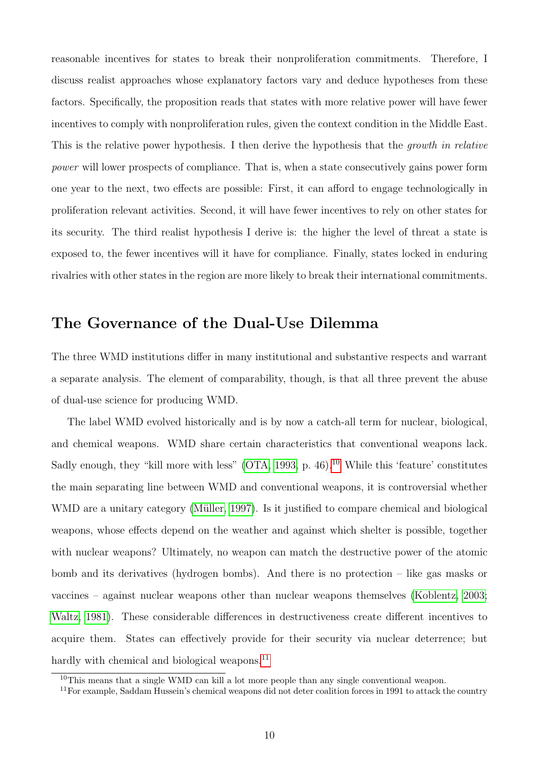reasonable incentives for states to break their nonproliferation commitments. Therefore, I discuss realist approaches whose explanatory factors vary and deduce hypotheses from these factors. Specifically, the proposition reads that states with more relative power will have fewer incentives to comply with nonproliferation rules, given the context condition in the Middle East. This is the relative power hypothesis. I then derive the hypothesis that the growth in relative power will lower prospects of compliance. That is, when a state consecutively gains power form one year to the next, two effects are possible: First, it can afford to engage technologically in proliferation relevant activities. Second, it will have fewer incentives to rely on other states for its security. The third realist hypothesis I derive is: the higher the level of threat a state is exposed to, the fewer incentives will it have for compliance. Finally, states locked in enduring rivalries with other states in the region are more likely to break their international commitments.

### The Governance of the Dual-Use Dilemma

The three WMD institutions differ in many institutional and substantive respects and warrant a separate analysis. The element of comparability, though, is that all three prevent the abuse of dual-use science for producing WMD.

The label WMD evolved historically and is by now a catch-all term for nuclear, biological, and chemical weapons. WMD share certain characteristics that conventional weapons lack. Sadly enough, they "kill more with less" [\(OTA, 1993,](#page-22-6) p. 46).<sup>[10](#page-9-0)</sup> While this 'feature' constitutes the main separating line between WMD and conventional weapons, it is controversial whether WMD are a unitary category (Müller, 1997). Is it justified to compare chemical and biological weapons, whose effects depend on the weather and against which shelter is possible, together with nuclear weapons? Ultimately, no weapon can match the destructive power of the atomic bomb and its derivatives (hydrogen bombs). And there is no protection – like gas masks or vaccines – against nuclear weapons other than nuclear weapons themselves [\(Koblentz, 2003;](#page-21-11) [Waltz, 1981\)](#page-23-4). These considerable differences in destructiveness create different incentives to acquire them. States can effectively provide for their security via nuclear deterrence; but hardly with chemical and biological weapons.<sup>[11](#page-9-1)</sup>

<span id="page-9-0"></span><sup>&</sup>lt;sup>10</sup>This means that a single WMD can kill a lot more people than any single conventional weapon.

<span id="page-9-1"></span><sup>&</sup>lt;sup>11</sup>For example, Saddam Hussein's chemical weapons did not deter coalition forces in 1991 to attack the country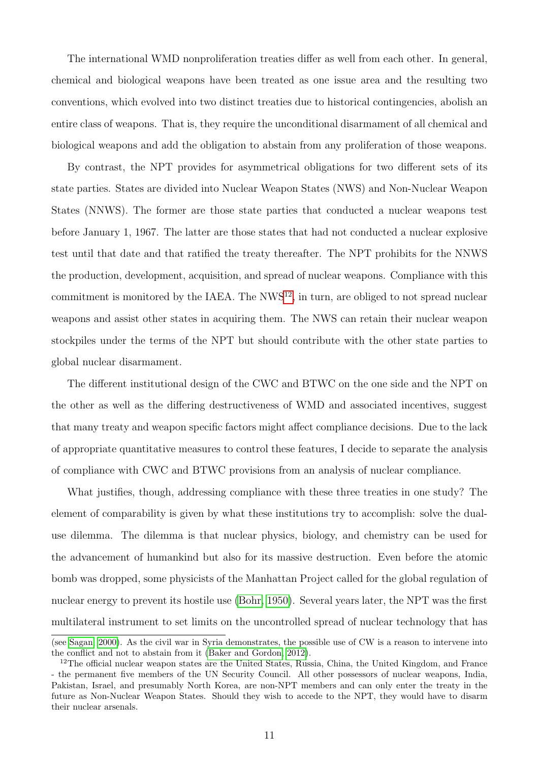The international WMD nonproliferation treaties differ as well from each other. In general, chemical and biological weapons have been treated as one issue area and the resulting two conventions, which evolved into two distinct treaties due to historical contingencies, abolish an entire class of weapons. That is, they require the unconditional disarmament of all chemical and biological weapons and add the obligation to abstain from any proliferation of those weapons.

By contrast, the NPT provides for asymmetrical obligations for two different sets of its state parties. States are divided into Nuclear Weapon States (NWS) and Non-Nuclear Weapon States (NNWS). The former are those state parties that conducted a nuclear weapons test before January 1, 1967. The latter are those states that had not conducted a nuclear explosive test until that date and that ratified the treaty thereafter. The NPT prohibits for the NNWS the production, development, acquisition, and spread of nuclear weapons. Compliance with this commitment is monitored by the IAEA. The  $NWS^{12}$  $NWS^{12}$  $NWS^{12}$ , in turn, are obliged to not spread nuclear weapons and assist other states in acquiring them. The NWS can retain their nuclear weapon stockpiles under the terms of the NPT but should contribute with the other state parties to global nuclear disarmament.

The different institutional design of the CWC and BTWC on the one side and the NPT on the other as well as the differing destructiveness of WMD and associated incentives, suggest that many treaty and weapon specific factors might affect compliance decisions. Due to the lack of appropriate quantitative measures to control these features, I decide to separate the analysis of compliance with CWC and BTWC provisions from an analysis of nuclear compliance.

What justifies, though, addressing compliance with these three treaties in one study? The element of comparability is given by what these institutions try to accomplish: solve the dualuse dilemma. The dilemma is that nuclear physics, biology, and chemistry can be used for the advancement of humankind but also for its massive destruction. Even before the atomic bomb was dropped, some physicists of the Manhattan Project called for the global regulation of nuclear energy to prevent its hostile use [\(Bohr, 1950\)](#page-19-3). Several years later, the NPT was the first multilateral instrument to set limits on the uncontrolled spread of nuclear technology that has

<sup>(</sup>see [Sagan, 2000\)](#page-22-7). As the civil war in Syria demonstrates, the possible use of CW is a reason to intervene into the conflict and not to abstain from it [\(Baker and Gordon, 2012\)](#page-19-4).

<span id="page-10-0"></span><sup>&</sup>lt;sup>12</sup>The official nuclear weapon states are the United States, Russia, China, the United Kingdom, and France - the permanent five members of the UN Security Council. All other possessors of nuclear weapons, India, Pakistan, Israel, and presumably North Korea, are non-NPT members and can only enter the treaty in the future as Non-Nuclear Weapon States. Should they wish to accede to the NPT, they would have to disarm their nuclear arsenals.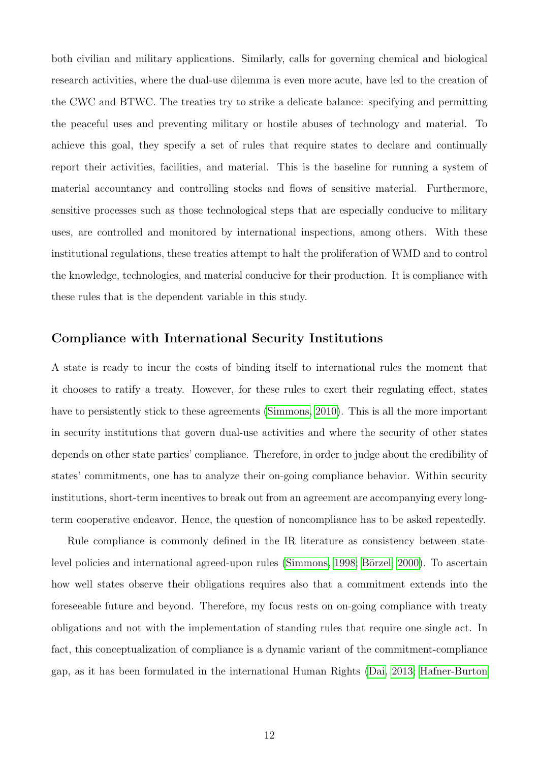both civilian and military applications. Similarly, calls for governing chemical and biological research activities, where the dual-use dilemma is even more acute, have led to the creation of the CWC and BTWC. The treaties try to strike a delicate balance: specifying and permitting the peaceful uses and preventing military or hostile abuses of technology and material. To achieve this goal, they specify a set of rules that require states to declare and continually report their activities, facilities, and material. This is the baseline for running a system of material accountancy and controlling stocks and flows of sensitive material. Furthermore, sensitive processes such as those technological steps that are especially conducive to military uses, are controlled and monitored by international inspections, among others. With these institutional regulations, these treaties attempt to halt the proliferation of WMD and to control the knowledge, technologies, and material conducive for their production. It is compliance with these rules that is the dependent variable in this study.

### Compliance with International Security Institutions

A state is ready to incur the costs of binding itself to international rules the moment that it chooses to ratify a treaty. However, for these rules to exert their regulating effect, states have to persistently stick to these agreements [\(Simmons, 2010\)](#page-23-8). This is all the more important in security institutions that govern dual-use activities and where the security of other states depends on other state parties' compliance. Therefore, in order to judge about the credibility of states' commitments, one has to analyze their on-going compliance behavior. Within security institutions, short-term incentives to break out from an agreement are accompanying every longterm cooperative endeavor. Hence, the question of noncompliance has to be asked repeatedly.

Rule compliance is commonly defined in the IR literature as consistency between state-level policies and international agreed-upon rules [\(Simmons, 1998;](#page-23-9) Börzel, 2000). To ascertain how well states observe their obligations requires also that a commitment extends into the foreseeable future and beyond. Therefore, my focus rests on on-going compliance with treaty obligations and not with the implementation of standing rules that require one single act. In fact, this conceptualization of compliance is a dynamic variant of the commitment-compliance gap, as it has been formulated in the international Human Rights [\(Dai, 2013;](#page-20-0) [Hafner-Burton](#page-20-1)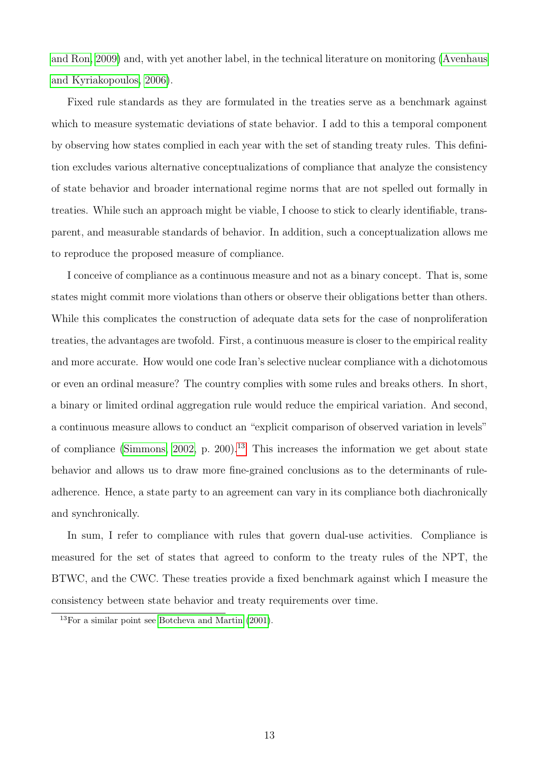[and Ron, 2009\)](#page-20-1) and, with yet another label, in the technical literature on monitoring [\(Avenhaus](#page-19-6) [and Kyriakopoulos, 2006\)](#page-19-6).

Fixed rule standards as they are formulated in the treaties serve as a benchmark against which to measure systematic deviations of state behavior. I add to this a temporal component by observing how states complied in each year with the set of standing treaty rules. This definition excludes various alternative conceptualizations of compliance that analyze the consistency of state behavior and broader international regime norms that are not spelled out formally in treaties. While such an approach might be viable, I choose to stick to clearly identifiable, transparent, and measurable standards of behavior. In addition, such a conceptualization allows me to reproduce the proposed measure of compliance.

I conceive of compliance as a continuous measure and not as a binary concept. That is, some states might commit more violations than others or observe their obligations better than others. While this complicates the construction of adequate data sets for the case of nonproliferation treaties, the advantages are twofold. First, a continuous measure is closer to the empirical reality and more accurate. How would one code Iran's selective nuclear compliance with a dichotomous or even an ordinal measure? The country complies with some rules and breaks others. In short, a binary or limited ordinal aggregation rule would reduce the empirical variation. And second, a continuous measure allows to conduct an "explicit comparison of observed variation in levels" of compliance [\(Simmons, 2002,](#page-23-10) p. 200).<sup>[13](#page-12-0)</sup> This increases the information we get about state behavior and allows us to draw more fine-grained conclusions as to the determinants of ruleadherence. Hence, a state party to an agreement can vary in its compliance both diachronically and synchronically.

In sum, I refer to compliance with rules that govern dual-use activities. Compliance is measured for the set of states that agreed to conform to the treaty rules of the NPT, the BTWC, and the CWC. These treaties provide a fixed benchmark against which I measure the consistency between state behavior and treaty requirements over time.

<span id="page-12-0"></span> $13$ For a similar point see [Botcheva and Martin](#page-20-5) [\(2001\)](#page-20-5).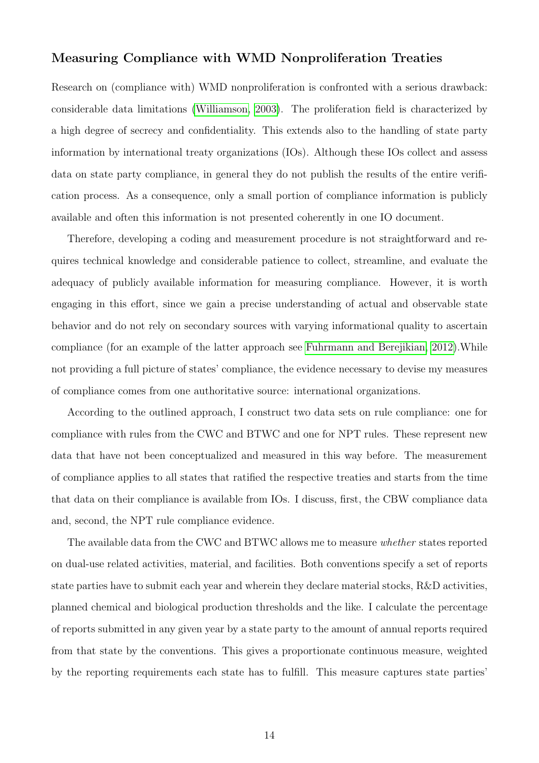### Measuring Compliance with WMD Nonproliferation Treaties

Research on (compliance with) WMD nonproliferation is confronted with a serious drawback: considerable data limitations [\(Williamson, 2003\)](#page-24-0). The proliferation field is characterized by a high degree of secrecy and confidentiality. This extends also to the handling of state party information by international treaty organizations (IOs). Although these IOs collect and assess data on state party compliance, in general they do not publish the results of the entire verification process. As a consequence, only a small portion of compliance information is publicly available and often this information is not presented coherently in one IO document.

Therefore, developing a coding and measurement procedure is not straightforward and requires technical knowledge and considerable patience to collect, streamline, and evaluate the adequacy of publicly available information for measuring compliance. However, it is worth engaging in this effort, since we gain a precise understanding of actual and observable state behavior and do not rely on secondary sources with varying informational quality to ascertain compliance (for an example of the latter approach see [Fuhrmann and Berejikian, 2012\)](#page-20-2).While not providing a full picture of states' compliance, the evidence necessary to devise my measures of compliance comes from one authoritative source: international organizations.

According to the outlined approach, I construct two data sets on rule compliance: one for compliance with rules from the CWC and BTWC and one for NPT rules. These represent new data that have not been conceptualized and measured in this way before. The measurement of compliance applies to all states that ratified the respective treaties and starts from the time that data on their compliance is available from IOs. I discuss, first, the CBW compliance data and, second, the NPT rule compliance evidence.

The available data from the CWC and BTWC allows me to measure whether states reported on dual-use related activities, material, and facilities. Both conventions specify a set of reports state parties have to submit each year and wherein they declare material stocks, R&D activities, planned chemical and biological production thresholds and the like. I calculate the percentage of reports submitted in any given year by a state party to the amount of annual reports required from that state by the conventions. This gives a proportionate continuous measure, weighted by the reporting requirements each state has to fulfill. This measure captures state parties'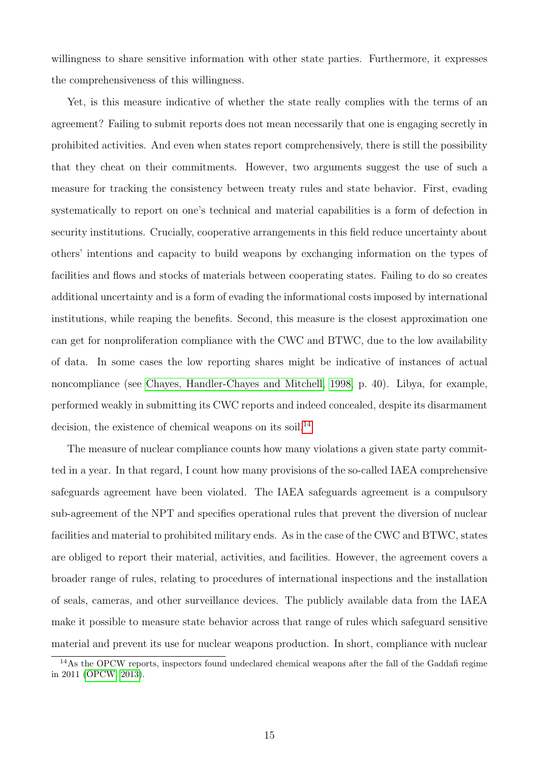willingness to share sensitive information with other state parties. Furthermore, it expresses the comprehensiveness of this willingness.

Yet, is this measure indicative of whether the state really complies with the terms of an agreement? Failing to submit reports does not mean necessarily that one is engaging secretly in prohibited activities. And even when states report comprehensively, there is still the possibility that they cheat on their commitments. However, two arguments suggest the use of such a measure for tracking the consistency between treaty rules and state behavior. First, evading systematically to report on one's technical and material capabilities is a form of defection in security institutions. Crucially, cooperative arrangements in this field reduce uncertainty about others' intentions and capacity to build weapons by exchanging information on the types of facilities and flows and stocks of materials between cooperating states. Failing to do so creates additional uncertainty and is a form of evading the informational costs imposed by international institutions, while reaping the benefits. Second, this measure is the closest approximation one can get for nonproliferation compliance with the CWC and BTWC, due to the low availability of data. In some cases the low reporting shares might be indicative of instances of actual noncompliance (see [Chayes, Handler-Chayes and Mitchell, 1998,](#page-20-6) p. 40). Libya, for example, performed weakly in submitting its CWC reports and indeed concealed, despite its disarmament decision, the existence of chemical weapons on its soil.<sup>[14](#page-14-0)</sup>

The measure of nuclear compliance counts how many violations a given state party committed in a year. In that regard, I count how many provisions of the so-called IAEA comprehensive safeguards agreement have been violated. The IAEA safeguards agreement is a compulsory sub-agreement of the NPT and specifies operational rules that prevent the diversion of nuclear facilities and material to prohibited military ends. As in the case of the CWC and BTWC, states are obliged to report their material, activities, and facilities. However, the agreement covers a broader range of rules, relating to procedures of international inspections and the installation of seals, cameras, and other surveillance devices. The publicly available data from the IAEA make it possible to measure state behavior across that range of rules which safeguard sensitive material and prevent its use for nuclear weapons production. In short, compliance with nuclear

<span id="page-14-0"></span><sup>14</sup>As the OPCW reports, inspectors found undeclared chemical weapons after the fall of the Gaddafi regime in 2011 [\(OPCW, 2013\)](#page-22-8).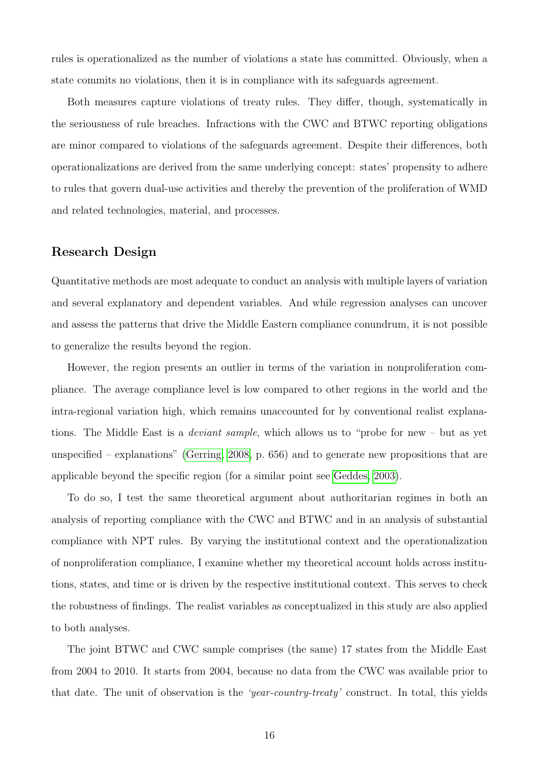rules is operationalized as the number of violations a state has committed. Obviously, when a state commits no violations, then it is in compliance with its safeguards agreement.

Both measures capture violations of treaty rules. They differ, though, systematically in the seriousness of rule breaches. Infractions with the CWC and BTWC reporting obligations are minor compared to violations of the safeguards agreement. Despite their differences, both operationalizations are derived from the same underlying concept: states' propensity to adhere to rules that govern dual-use activities and thereby the prevention of the proliferation of WMD and related technologies, material, and processes.

#### Research Design

Quantitative methods are most adequate to conduct an analysis with multiple layers of variation and several explanatory and dependent variables. And while regression analyses can uncover and assess the patterns that drive the Middle Eastern compliance conundrum, it is not possible to generalize the results beyond the region.

However, the region presents an outlier in terms of the variation in nonproliferation compliance. The average compliance level is low compared to other regions in the world and the intra-regional variation high, which remains unaccounted for by conventional realist explanations. The Middle East is a deviant sample, which allows us to "probe for new – but as yet unspecified – explanations" [\(Gerring, 2008,](#page-20-7) p. 656) and to generate new propositions that are applicable beyond the specific region (for a similar point see [Geddes, 2003\)](#page-20-8).

To do so, I test the same theoretical argument about authoritarian regimes in both an analysis of reporting compliance with the CWC and BTWC and in an analysis of substantial compliance with NPT rules. By varying the institutional context and the operationalization of nonproliferation compliance, I examine whether my theoretical account holds across institutions, states, and time or is driven by the respective institutional context. This serves to check the robustness of findings. The realist variables as conceptualized in this study are also applied to both analyses.

The joint BTWC and CWC sample comprises (the same) 17 states from the Middle East from 2004 to 2010. It starts from 2004, because no data from the CWC was available prior to that date. The unit of observation is the 'year-country-treaty' construct. In total, this yields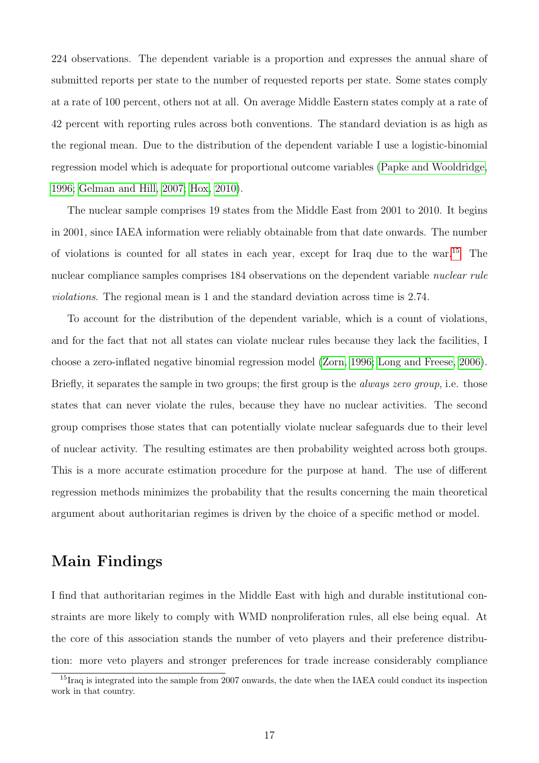224 observations. The dependent variable is a proportion and expresses the annual share of submitted reports per state to the number of requested reports per state. Some states comply at a rate of 100 percent, others not at all. On average Middle Eastern states comply at a rate of 42 percent with reporting rules across both conventions. The standard deviation is as high as the regional mean. Due to the distribution of the dependent variable I use a logistic-binomial regression model which is adequate for proportional outcome variables [\(Papke and Wooldridge,](#page-22-9) [1996;](#page-22-9) [Gelman and Hill, 2007;](#page-20-9) [Hox, 2010\)](#page-20-10).

The nuclear sample comprises 19 states from the Middle East from 2001 to 2010. It begins in 2001, since IAEA information were reliably obtainable from that date onwards. The number of violations is counted for all states in each year, except for Iraq due to the war.[15](#page-16-0) The nuclear compliance samples comprises 184 observations on the dependent variable *nuclear rule* violations. The regional mean is 1 and the standard deviation across time is 2.74.

To account for the distribution of the dependent variable, which is a count of violations, and for the fact that not all states can violate nuclear rules because they lack the facilities, I choose a zero-inflated negative binomial regression model [\(Zorn, 1996;](#page-24-1) [Long and Freese, 2006\)](#page-21-12). Briefly, it separates the sample in two groups; the first group is the *always zero group*, i.e. those states that can never violate the rules, because they have no nuclear activities. The second group comprises those states that can potentially violate nuclear safeguards due to their level of nuclear activity. The resulting estimates are then probability weighted across both groups. This is a more accurate estimation procedure for the purpose at hand. The use of different regression methods minimizes the probability that the results concerning the main theoretical argument about authoritarian regimes is driven by the choice of a specific method or model.

# Main Findings

I find that authoritarian regimes in the Middle East with high and durable institutional constraints are more likely to comply with WMD nonproliferation rules, all else being equal. At the core of this association stands the number of veto players and their preference distribution: more veto players and stronger preferences for trade increase considerably compliance

<span id="page-16-0"></span><sup>&</sup>lt;sup>15</sup>Iraq is integrated into the sample from 2007 onwards, the date when the IAEA could conduct its inspection work in that country.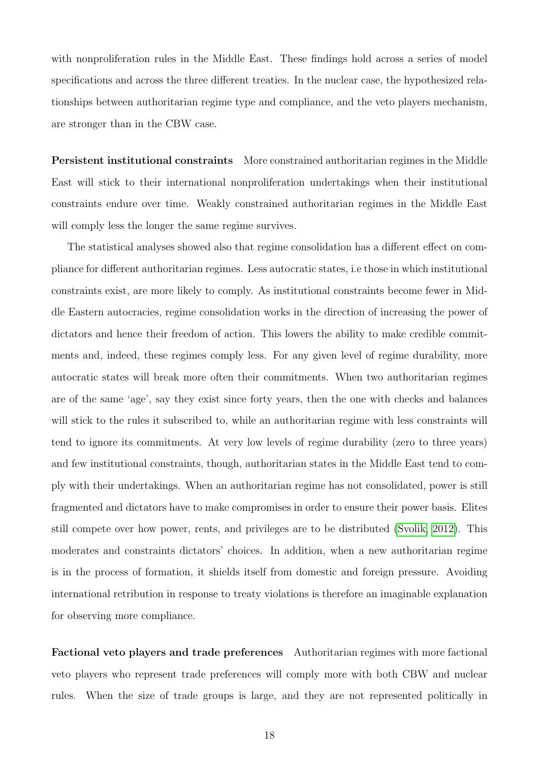with nonproliferation rules in the Middle East. These findings hold across a series of model specifications and across the three different treaties. In the nuclear case, the hypothesized relationships between authoritarian regime type and compliance, and the veto players mechanism, are stronger than in the CBW case.

Persistent institutional constraints More constrained authoritarian regimes in the Middle East will stick to their international nonproliferation undertakings when their institutional constraints endure over time. Weakly constrained authoritarian regimes in the Middle East will comply less the longer the same regime survives.

The statistical analyses showed also that regime consolidation has a different effect on compliance for different authoritarian regimes. Less autocratic states, i.e those in which institutional constraints exist, are more likely to comply. As institutional constraints become fewer in Middle Eastern autocracies, regime consolidation works in the direction of increasing the power of dictators and hence their freedom of action. This lowers the ability to make credible commitments and, indeed, these regimes comply less. For any given level of regime durability, more autocratic states will break more often their commitments. When two authoritarian regimes are of the same 'age', say they exist since forty years, then the one with checks and balances will stick to the rules it subscribed to, while an authoritarian regime with less constraints will tend to ignore its commitments. At very low levels of regime durability (zero to three years) and few institutional constraints, though, authoritarian states in the Middle East tend to comply with their undertakings. When an authoritarian regime has not consolidated, power is still fragmented and dictators have to make compromises in order to ensure their power basis. Elites still compete over how power, rents, and privileges are to be distributed [\(Svolik, 2012\)](#page-23-11). This moderates and constraints dictators' choices. In addition, when a new authoritarian regime is in the process of formation, it shields itself from domestic and foreign pressure. Avoiding international retribution in response to treaty violations is therefore an imaginable explanation for observing more compliance.

Factional veto players and trade preferences Authoritarian regimes with more factional veto players who represent trade preferences will comply more with both CBW and nuclear rules. When the size of trade groups is large, and they are not represented politically in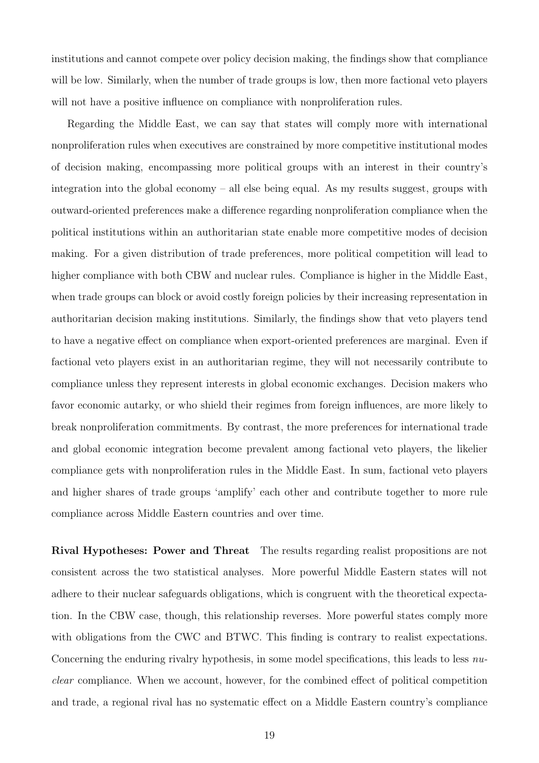institutions and cannot compete over policy decision making, the findings show that compliance will be low. Similarly, when the number of trade groups is low, then more factional veto players will not have a positive influence on compliance with nonproliferation rules.

Regarding the Middle East, we can say that states will comply more with international nonproliferation rules when executives are constrained by more competitive institutional modes of decision making, encompassing more political groups with an interest in their country's integration into the global economy – all else being equal. As my results suggest, groups with outward-oriented preferences make a difference regarding nonproliferation compliance when the political institutions within an authoritarian state enable more competitive modes of decision making. For a given distribution of trade preferences, more political competition will lead to higher compliance with both CBW and nuclear rules. Compliance is higher in the Middle East, when trade groups can block or avoid costly foreign policies by their increasing representation in authoritarian decision making institutions. Similarly, the findings show that veto players tend to have a negative effect on compliance when export-oriented preferences are marginal. Even if factional veto players exist in an authoritarian regime, they will not necessarily contribute to compliance unless they represent interests in global economic exchanges. Decision makers who favor economic autarky, or who shield their regimes from foreign influences, are more likely to break nonproliferation commitments. By contrast, the more preferences for international trade and global economic integration become prevalent among factional veto players, the likelier compliance gets with nonproliferation rules in the Middle East. In sum, factional veto players and higher shares of trade groups 'amplify' each other and contribute together to more rule compliance across Middle Eastern countries and over time.

Rival Hypotheses: Power and Threat The results regarding realist propositions are not consistent across the two statistical analyses. More powerful Middle Eastern states will not adhere to their nuclear safeguards obligations, which is congruent with the theoretical expectation. In the CBW case, though, this relationship reverses. More powerful states comply more with obligations from the CWC and BTWC. This finding is contrary to realist expectations. Concerning the enduring rivalry hypothesis, in some model specifications, this leads to less nuclear compliance. When we account, however, for the combined effect of political competition and trade, a regional rival has no systematic effect on a Middle Eastern country's compliance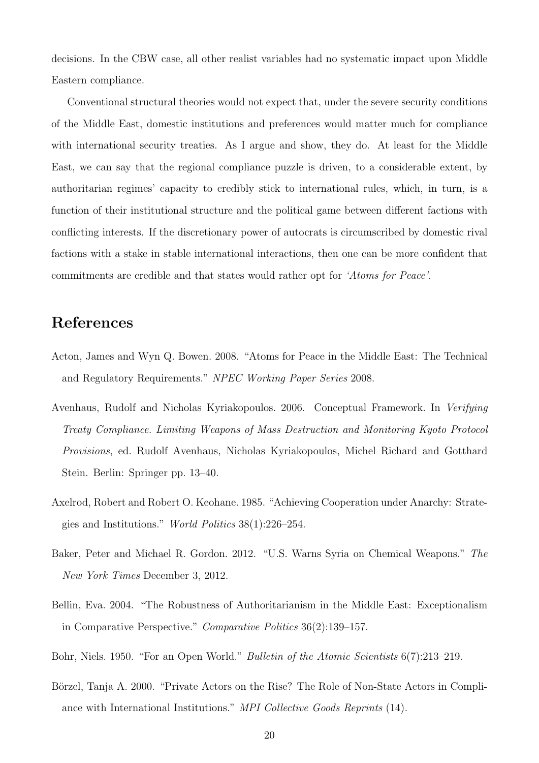decisions. In the CBW case, all other realist variables had no systematic impact upon Middle Eastern compliance.

Conventional structural theories would not expect that, under the severe security conditions of the Middle East, domestic institutions and preferences would matter much for compliance with international security treaties. As I argue and show, they do. At least for the Middle East, we can say that the regional compliance puzzle is driven, to a considerable extent, by authoritarian regimes' capacity to credibly stick to international rules, which, in turn, is a function of their institutional structure and the political game between different factions with conflicting interests. If the discretionary power of autocrats is circumscribed by domestic rival factions with a stake in stable international interactions, then one can be more confident that commitments are credible and that states would rather opt for 'Atoms for Peace'.

# References

- <span id="page-19-1"></span>Acton, James and Wyn Q. Bowen. 2008. "Atoms for Peace in the Middle East: The Technical and Regulatory Requirements." NPEC Working Paper Series 2008.
- <span id="page-19-6"></span>Avenhaus, Rudolf and Nicholas Kyriakopoulos. 2006. Conceptual Framework. In Verifying Treaty Compliance. Limiting Weapons of Mass Destruction and Monitoring Kyoto Protocol Provisions, ed. Rudolf Avenhaus, Nicholas Kyriakopoulos, Michel Richard and Gotthard Stein. Berlin: Springer pp. 13–40.
- <span id="page-19-2"></span>Axelrod, Robert and Robert O. Keohane. 1985. "Achieving Cooperation under Anarchy: Strategies and Institutions." World Politics 38(1):226–254.
- <span id="page-19-4"></span>Baker, Peter and Michael R. Gordon. 2012. "U.S. Warns Syria on Chemical Weapons." The New York Times December 3, 2012.
- <span id="page-19-0"></span>Bellin, Eva. 2004. "The Robustness of Authoritarianism in the Middle East: Exceptionalism in Comparative Perspective." Comparative Politics 36(2):139–157.
- <span id="page-19-3"></span>Bohr, Niels. 1950. "For an Open World." Bulletin of the Atomic Scientists 6(7):213–219.
- <span id="page-19-5"></span>Börzel, Tanja A. 2000. "Private Actors on the Rise? The Role of Non-State Actors in Compliance with International Institutions." MPI Collective Goods Reprints (14).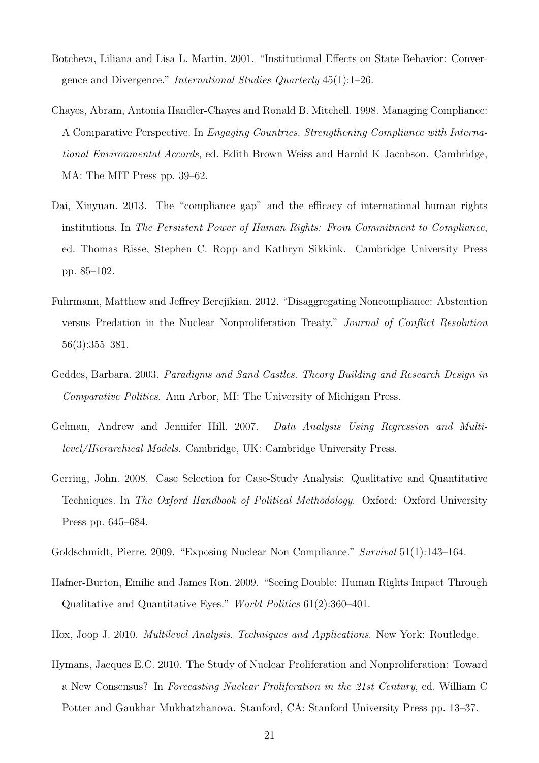- <span id="page-20-5"></span>Botcheva, Liliana and Lisa L. Martin. 2001. "Institutional Effects on State Behavior: Convergence and Divergence." International Studies Quarterly 45(1):1–26.
- <span id="page-20-6"></span>Chayes, Abram, Antonia Handler-Chayes and Ronald B. Mitchell. 1998. Managing Compliance: A Comparative Perspective. In Engaging Countries. Strengthening Compliance with International Environmental Accords, ed. Edith Brown Weiss and Harold K Jacobson. Cambridge, MA: The MIT Press pp. 39–62.
- <span id="page-20-0"></span>Dai, Xinyuan. 2013. The "compliance gap" and the efficacy of international human rights institutions. In The Persistent Power of Human Rights: From Commitment to Compliance, ed. Thomas Risse, Stephen C. Ropp and Kathryn Sikkink. Cambridge University Press pp. 85–102.
- <span id="page-20-2"></span>Fuhrmann, Matthew and Jeffrey Berejikian. 2012. "Disaggregating Noncompliance: Abstention versus Predation in the Nuclear Nonproliferation Treaty." Journal of Conflict Resolution 56(3):355–381.
- <span id="page-20-8"></span>Geddes, Barbara. 2003. Paradigms and Sand Castles. Theory Building and Research Design in Comparative Politics. Ann Arbor, MI: The University of Michigan Press.
- <span id="page-20-9"></span>Gelman, Andrew and Jennifer Hill. 2007. Data Analysis Using Regression and Multilevel/Hierarchical Models. Cambridge, UK: Cambridge University Press.
- <span id="page-20-7"></span>Gerring, John. 2008. Case Selection for Case-Study Analysis: Qualitative and Quantitative Techniques. In The Oxford Handbook of Political Methodology. Oxford: Oxford University Press pp. 645–684.
- <span id="page-20-3"></span>Goldschmidt, Pierre. 2009. "Exposing Nuclear Non Compliance." Survival 51(1):143–164.
- <span id="page-20-1"></span>Hafner-Burton, Emilie and James Ron. 2009. "Seeing Double: Human Rights Impact Through Qualitative and Quantitative Eyes." World Politics 61(2):360–401.
- <span id="page-20-10"></span>Hox, Joop J. 2010. Multilevel Analysis. Techniques and Applications. New York: Routledge.
- <span id="page-20-4"></span>Hymans, Jacques E.C. 2010. The Study of Nuclear Proliferation and Nonproliferation: Toward a New Consensus? In Forecasting Nuclear Proliferation in the 21st Century, ed. William C Potter and Gaukhar Mukhatzhanova. Stanford, CA: Stanford University Press pp. 13–37.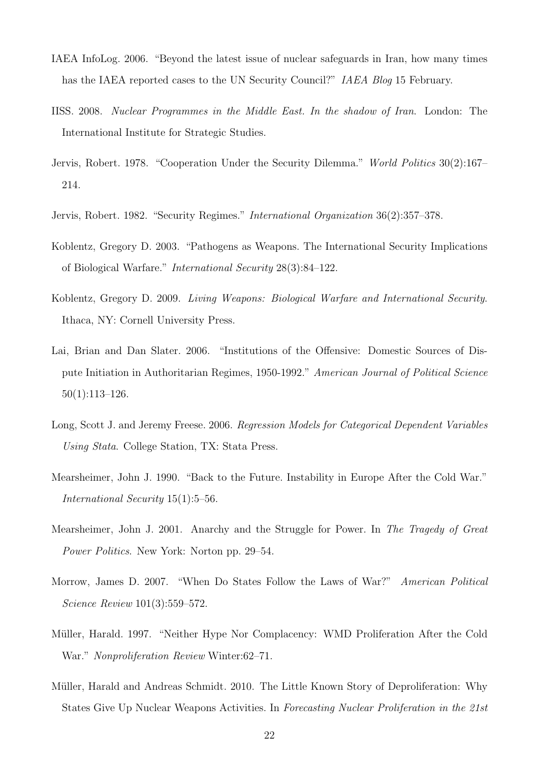- <span id="page-21-6"></span>IAEA InfoLog. 2006. "Beyond the latest issue of nuclear safeguards in Iran, how many times has the IAEA reported cases to the UN Security Council?" *IAEA Blog* 15 February.
- <span id="page-21-0"></span>IISS. 2008. Nuclear Programmes in the Middle East. In the shadow of Iran. London: The International Institute for Strategic Studies.
- <span id="page-21-7"></span>Jervis, Robert. 1978. "Cooperation Under the Security Dilemma." World Politics 30(2):167– 214.
- <span id="page-21-8"></span>Jervis, Robert. 1982. "Security Regimes." International Organization 36(2):357–378.
- <span id="page-21-11"></span>Koblentz, Gregory D. 2003. "Pathogens as Weapons. The International Security Implications of Biological Warfare." International Security 28(3):84–122.
- <span id="page-21-9"></span>Koblentz, Gregory D. 2009. Living Weapons: Biological Warfare and International Security. Ithaca, NY: Cornell University Press.
- <span id="page-21-1"></span>Lai, Brian and Dan Slater. 2006. "Institutions of the Offensive: Domestic Sources of Dispute Initiation in Authoritarian Regimes, 1950-1992." American Journal of Political Science 50(1):113–126.
- <span id="page-21-12"></span>Long, Scott J. and Jeremy Freese. 2006. Regression Models for Categorical Dependent Variables Using Stata. College Station, TX: Stata Press.
- <span id="page-21-4"></span>Mearsheimer, John J. 1990. "Back to the Future. Instability in Europe After the Cold War." International Security 15(1):5–56.
- <span id="page-21-5"></span>Mearsheimer, John J. 2001. Anarchy and the Struggle for Power. In The Tragedy of Great Power Politics. New York: Norton pp. 29–54.
- <span id="page-21-2"></span>Morrow, James D. 2007. "When Do States Follow the Laws of War?" American Political Science Review 101(3):559–572.
- <span id="page-21-10"></span>Müller, Harald. 1997. "Neither Hype Nor Complacency: WMD Proliferation After the Cold War." Nonproliferation Review Winter:62–71.
- <span id="page-21-3"></span>Müller, Harald and Andreas Schmidt. 2010. The Little Known Story of Deproliferation: Why States Give Up Nuclear Weapons Activities. In Forecasting Nuclear Proliferation in the 21st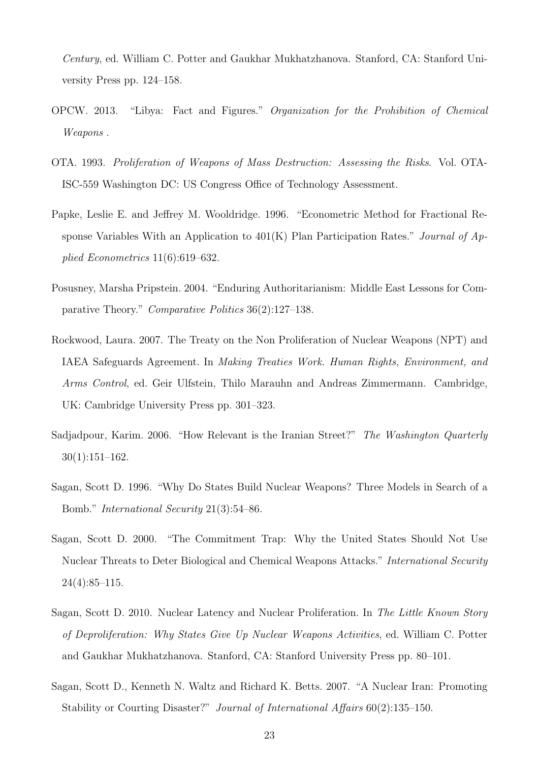Century, ed. William C. Potter and Gaukhar Mukhatzhanova. Stanford, CA: Stanford University Press pp. 124–158.

- <span id="page-22-8"></span>OPCW. 2013. "Libya: Fact and Figures." Organization for the Prohibition of Chemical Weapons .
- <span id="page-22-6"></span>OTA. 1993. Proliferation of Weapons of Mass Destruction: Assessing the Risks. Vol. OTA-ISC-559 Washington DC: US Congress Office of Technology Assessment.
- <span id="page-22-9"></span>Papke, Leslie E. and Jeffrey M. Wooldridge. 1996. "Econometric Method for Fractional Response Variables With an Application to  $401(K)$  Plan Participation Rates." *Journal of Ap*plied Econometrics 11(6):619–632.
- <span id="page-22-1"></span>Posusney, Marsha Pripstein. 2004. "Enduring Authoritarianism: Middle East Lessons for Comparative Theory." Comparative Politics 36(2):127–138.
- <span id="page-22-5"></span>Rockwood, Laura. 2007. The Treaty on the Non Proliferation of Nuclear Weapons (NPT) and IAEA Safeguards Agreement. In Making Treaties Work. Human Rights, Environment, and Arms Control, ed. Geir Ulfstein, Thilo Marauhn and Andreas Zimmermann. Cambridge, UK: Cambridge University Press pp. 301–323.
- <span id="page-22-0"></span>Sadjadpour, Karim. 2006. "How Relevant is the Iranian Street?" The Washington Quarterly 30(1):151–162.
- <span id="page-22-4"></span>Sagan, Scott D. 1996. "Why Do States Build Nuclear Weapons? Three Models in Search of a Bomb." International Security 21(3):54–86.
- <span id="page-22-7"></span>Sagan, Scott D. 2000. "The Commitment Trap: Why the United States Should Not Use Nuclear Threats to Deter Biological and Chemical Weapons Attacks." International Security  $24(4):85-115.$
- <span id="page-22-2"></span>Sagan, Scott D. 2010. Nuclear Latency and Nuclear Proliferation. In The Little Known Story of Deproliferation: Why States Give Up Nuclear Weapons Activities, ed. William C. Potter and Gaukhar Mukhatzhanova. Stanford, CA: Stanford University Press pp. 80–101.
- <span id="page-22-3"></span>Sagan, Scott D., Kenneth N. Waltz and Richard K. Betts. 2007. "A Nuclear Iran: Promoting Stability or Courting Disaster?" Journal of International Affairs 60(2):135–150.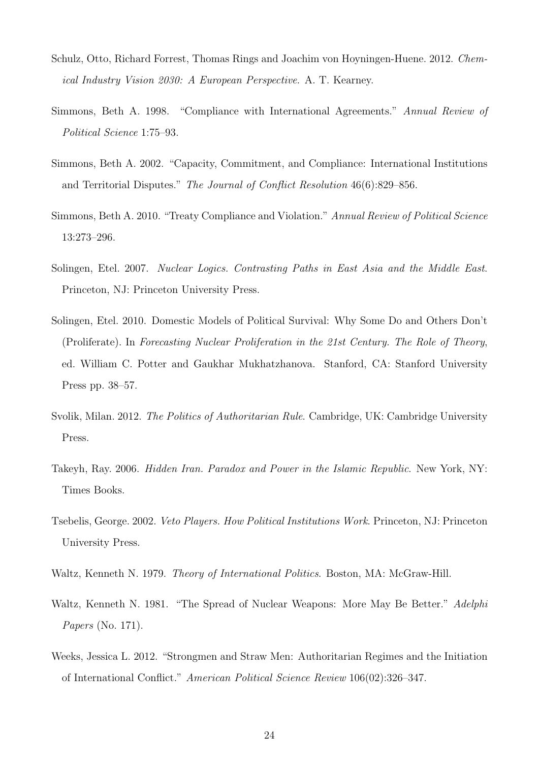- <span id="page-23-1"></span>Schulz, Otto, Richard Forrest, Thomas Rings and Joachim von Hoyningen-Huene. 2012. Chemical Industry Vision 2030: A European Perspective. A. T. Kearney.
- <span id="page-23-9"></span>Simmons, Beth A. 1998. "Compliance with International Agreements." Annual Review of Political Science 1:75–93.
- <span id="page-23-10"></span>Simmons, Beth A. 2002. "Capacity, Commitment, and Compliance: International Institutions and Territorial Disputes." The Journal of Conflict Resolution 46(6):829–856.
- <span id="page-23-8"></span>Simmons, Beth A. 2010. "Treaty Compliance and Violation." Annual Review of Political Science 13:273–296.
- <span id="page-23-2"></span>Solingen, Etel. 2007. Nuclear Logics. Contrasting Paths in East Asia and the Middle East. Princeton, NJ: Princeton University Press.
- <span id="page-23-6"></span>Solingen, Etel. 2010. Domestic Models of Political Survival: Why Some Do and Others Don't (Proliferate). In Forecasting Nuclear Proliferation in the 21st Century. The Role of Theory, ed. William C. Potter and Gaukhar Mukhatzhanova. Stanford, CA: Stanford University Press pp. 38–57.
- <span id="page-23-11"></span>Svolik, Milan. 2012. The Politics of Authoritarian Rule. Cambridge, UK: Cambridge University Press.
- <span id="page-23-5"></span>Takeyh, Ray. 2006. Hidden Iran. Paradox and Power in the Islamic Republic. New York, NY: Times Books.
- <span id="page-23-7"></span>Tsebelis, George. 2002. Veto Players. How Political Institutions Work. Princeton, NJ: Princeton University Press.
- <span id="page-23-3"></span>Waltz, Kenneth N. 1979. Theory of International Politics. Boston, MA: McGraw-Hill.
- <span id="page-23-4"></span>Waltz, Kenneth N. 1981. "The Spread of Nuclear Weapons: More May Be Better." Adelphi Papers (No. 171).
- <span id="page-23-0"></span>Weeks, Jessica L. 2012. "Strongmen and Straw Men: Authoritarian Regimes and the Initiation of International Conflict." American Political Science Review 106(02):326–347.